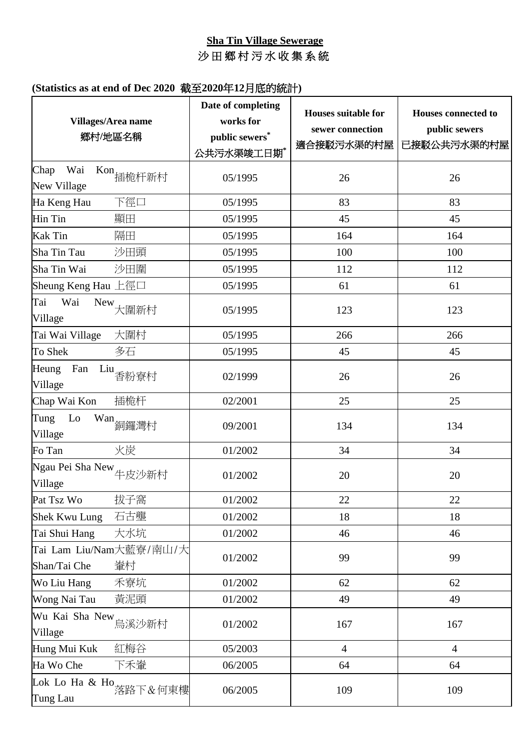## **Sha Tin Village Sewerage** 沙 田 鄉 村 污 水 收 集 系 統

| Villages/Area name<br>鄉村/地區名稱                 | Date of completing<br>works for<br>public sewers*<br>公共污水渠竣工日期* | <b>Houses suitable for</b><br>sewer connection<br>適合接駁污水渠的村屋 | <b>Houses connected to</b><br>public sewers<br>已接駁公共污水渠的村屋 |
|-----------------------------------------------|-----------------------------------------------------------------|--------------------------------------------------------------|------------------------------------------------------------|
| Wai<br>Chap<br>Kon<br>插桅杆新村<br>New Village    | 05/1995                                                         | 26                                                           | 26                                                         |
| 下徑口<br>Ha Keng Hau                            | 05/1995                                                         | 83                                                           | 83                                                         |
| Hin Tin<br>顯田                                 | 05/1995                                                         | 45                                                           | 45                                                         |
| 隔田<br><b>Kak Tin</b>                          | 05/1995                                                         | 164                                                          | 164                                                        |
| 沙田頭<br>Sha Tin Tau                            | 05/1995                                                         | 100                                                          | 100                                                        |
| 沙田圍<br>Sha Tin Wai                            | 05/1995                                                         | 112                                                          | 112                                                        |
| Sheung Keng Hau 上徑口                           | 05/1995                                                         | 61                                                           | 61                                                         |
| Wai<br>Tai<br>New<br>大圍新村<br>Village          | 05/1995                                                         | 123                                                          | 123                                                        |
| 大圍村<br>Tai Wai Village                        | 05/1995                                                         | 266                                                          | 266                                                        |
| 多石<br>To Shek                                 | 05/1995                                                         | 45                                                           | 45                                                         |
| Heung<br>Fan<br>Liu<br>香粉寮村<br>Village        | 02/1999                                                         | 26                                                           | 26                                                         |
| 插桅杆<br>Chap Wai Kon                           | 02/2001                                                         | 25                                                           | 25                                                         |
| Lo<br>Tung<br>Wan<br>銅鑼灣村<br>Village          | 09/2001                                                         | 134                                                          | 134                                                        |
| 火炭<br>Fo Tan                                  | 01/2002                                                         | 34                                                           | 34                                                         |
| Ngau Pei Sha New 牛皮沙新村<br>Village             | 01/2002                                                         | 20                                                           | 20                                                         |
| 拔子窩<br>Pat Tsz Wo                             | 01/2002                                                         | 22                                                           | 22                                                         |
| 石古壟<br><b>Shek Kwu Lung</b>                   | 01/2002                                                         | 18                                                           | 18                                                         |
| 大水坑<br>Tai Shui Hang                          | 01/2002                                                         | 46                                                           | 46                                                         |
| Tai Lam Liu/Nam大藍寮/南山/大<br>Shan/Tai Che<br>輋村 | 01/2002                                                         | 99                                                           | 99                                                         |
| 禾寮坑<br>Wo Liu Hang                            | 01/2002                                                         | 62                                                           | 62                                                         |
| 黃泥頭<br>Wong Nai Tau                           | 01/2002                                                         | 49                                                           | 49                                                         |
| Wu Kai Sha New<br>鳥溪沙新村<br>Village            | 01/2002                                                         | 167                                                          | 167                                                        |
| Hung Mui Kuk<br>紅梅谷                           | 05/2003                                                         | $\overline{4}$                                               | $\overline{4}$                                             |
| Ha Wo Che<br>下禾輋                              | 06/2005                                                         | 64                                                           | 64                                                         |
| Lok Lo Ha & Ho<br>落路下&何東樓<br>Tung Lau         | 06/2005                                                         | 109                                                          | 109                                                        |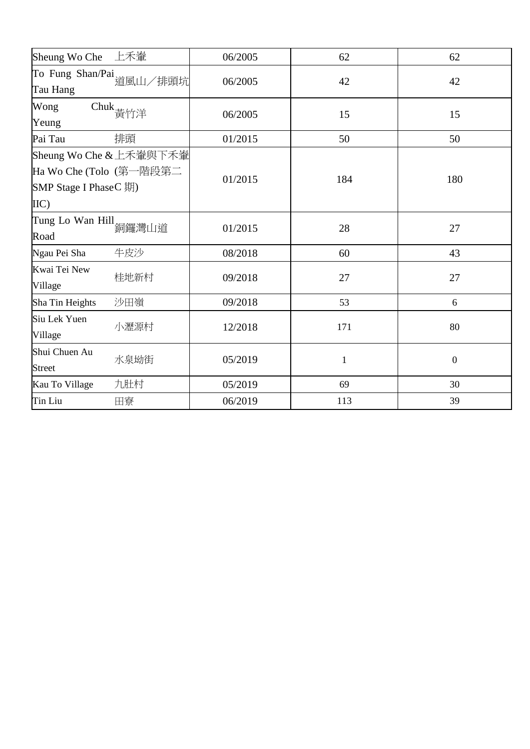| Sheung Wo Che 上禾輋                     |                                                    | 06/2005 | 62  | 62               |
|---------------------------------------|----------------------------------------------------|---------|-----|------------------|
| Tau Hang                              | To Fung Shan/Pai<br>道風山/排頭坑                        | 06/2005 | 42  | 42               |
| Wong<br>Yeung                         | Chuk<br>黄竹洋                                        | 06/2005 | 15  | 15               |
| Pai Tau                               | 排頭                                                 | 01/2015 | 50  | 50               |
| <b>SMP Stage I PhaseC 期</b> )<br>IIC) | Sheung Wo Che & 上禾輋與下禾輋<br>Ha Wo Che (Tolo (第一階段第二 | 01/2015 | 184 | 180              |
| Tung Lo Wan Hill<br>銅鑼灣山道<br>Road     |                                                    | 01/2015 | 28  | 27               |
| Ngau Pei Sha                          | 牛皮沙                                                | 08/2018 | 60  | 43               |
| Kwai Tei New<br>Village               | 桂地新村                                               | 09/2018 | 27  | 27               |
| Sha Tin Heights                       | 沙田嶺                                                | 09/2018 | 53  | 6                |
| Siu Lek Yuen<br>Village               | 小瀝源村                                               | 12/2018 | 171 | 80               |
| Shui Chuen Au<br><b>Street</b>        | 水泉坳街                                               | 05/2019 | 1   | $\boldsymbol{0}$ |
| Kau To Village                        | 九肚村                                                | 05/2019 | 69  | 30               |
| Tin Liu                               | 田寮                                                 | 06/2019 | 113 | 39               |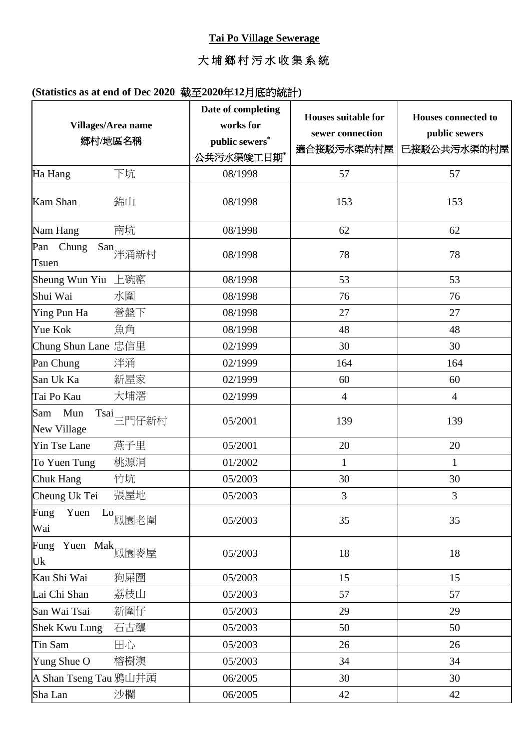#### **Tai Po Village Sewerage**

# 大 埔 鄉 村 污 水 收 集 系 統

|                                     | Villages/Area name<br>鄉村/地區名稱                                                                                                                   | Date of completing<br>works for<br>public sewers*<br>公共污水渠竣工日期* | <b>Houses suitable for</b><br>sewer connection<br>適合接駁污水渠的村屋 | <b>Houses connected to</b><br>public sewers<br>已接駁公共污水渠的村屋 |
|-------------------------------------|-------------------------------------------------------------------------------------------------------------------------------------------------|-----------------------------------------------------------------|--------------------------------------------------------------|------------------------------------------------------------|
| Ha Hang                             | 下坑                                                                                                                                              | 08/1998                                                         | 57                                                           | 57                                                         |
| <b>Kam Shan</b>                     | 錦山                                                                                                                                              | 08/1998                                                         | 153                                                          | 153                                                        |
| Nam Hang                            | 南坑                                                                                                                                              | 08/1998                                                         | 62                                                           | 62                                                         |
| Pan Chung<br>Tsuen                  | San<br>洋涌新村                                                                                                                                     | 08/1998                                                         | 78                                                           | 78                                                         |
| Sheung Wun Yiu 上碗窰                  |                                                                                                                                                 | 08/1998                                                         | 53                                                           | 53                                                         |
| Shui Wai                            | 水圍                                                                                                                                              | 08/1998                                                         | 76                                                           | 76                                                         |
| Ying Pun Ha                         | 營盤下                                                                                                                                             | 08/1998                                                         | 27                                                           | 27                                                         |
| Yue Kok                             | 魚角                                                                                                                                              | 08/1998                                                         | 48                                                           | 48                                                         |
| Chung Shun Lane 忠信里                 |                                                                                                                                                 | 02/1999                                                         | 30                                                           | 30                                                         |
| Pan Chung                           | 泮涌                                                                                                                                              | 02/1999                                                         | 164                                                          | 164                                                        |
| San Uk Ka                           | 新屋家                                                                                                                                             | 02/1999                                                         | 60                                                           | 60                                                         |
| Tai Po Kau                          | 大埔滘                                                                                                                                             | 02/1999                                                         | $\overline{4}$                                               | $\overline{4}$                                             |
| Sam<br>Mun<br>New Village           | $\begin{aligned} \text{Tsai} \equiv & \text{PJ} \text{F} \text{f} \text{F} \text{f} \text{F} \text{f} \text{F} \text{f} \text{F} \end{aligned}$ | 05/2001                                                         | 139                                                          | 139                                                        |
| Yin Tse Lane                        | 燕子里                                                                                                                                             | 05/2001                                                         | 20                                                           | 20                                                         |
| To Yuen Tung                        | 桃源洞                                                                                                                                             | 01/2002                                                         | $\mathbf{1}$                                                 | $\mathbf{1}$                                               |
| Chuk Hang                           | 竹坑                                                                                                                                              | 05/2003                                                         | 30                                                           | 30                                                         |
| Cheung Uk Tei                       | 張屋地                                                                                                                                             | 05/2003                                                         | 3                                                            | 3                                                          |
| Yuen<br>Fung<br>Wai                 | $^{\rm Lo}$ 鳳園老圍                                                                                                                                | 05/2003                                                         | 35                                                           | 35                                                         |
| Fung Yuen Mak <sub>鳳園麥屋</sub><br>Uk |                                                                                                                                                 | 05/2003                                                         | 18                                                           | 18                                                         |
| Kau Shi Wai                         | 狗屎圍                                                                                                                                             | 05/2003                                                         | 15                                                           | 15                                                         |
| Lai Chi Shan                        | 荔枝山                                                                                                                                             | 05/2003                                                         | 57                                                           | 57                                                         |
| San Wai Tsai                        | 新圍仔                                                                                                                                             | 05/2003                                                         | 29                                                           | 29                                                         |
| Shek Kwu Lung                       | 石古壟                                                                                                                                             | 05/2003                                                         | 50                                                           | 50                                                         |
| Tin Sam                             | 田心                                                                                                                                              | 05/2003                                                         | 26                                                           | 26                                                         |
| Yung Shue O                         | 榕樹澳                                                                                                                                             | 05/2003                                                         | 34                                                           | 34                                                         |
| A Shan Tseng Tau 鴉山井頭               |                                                                                                                                                 | 06/2005                                                         | 30                                                           | 30                                                         |
| Sha Lan                             | 沙欄                                                                                                                                              | 06/2005                                                         | 42                                                           | 42                                                         |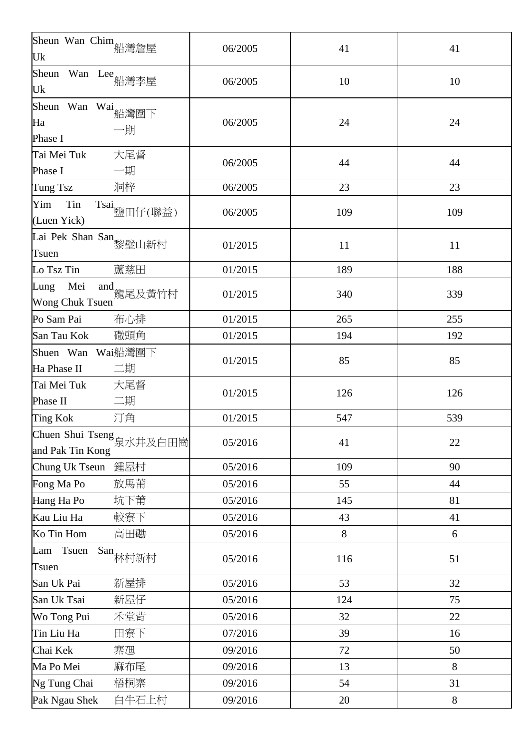| Sheun Wan Chim<br>船灣詹屋<br>Uk                    | 06/2005 | 41  | 41    |
|-------------------------------------------------|---------|-----|-------|
| Sheun<br>Wan Lee 船灣李屋<br>Uk                     | 06/2005 | 10  | 10    |
| Sheun Wan Wai<br>船灣圍下<br>Ha<br>一期<br>Phase I    | 06/2005 | 24  | 24    |
| Tai Mei Tuk<br>大尾督<br>一期<br>Phase I             | 06/2005 | 44  | 44    |
| 洞梓<br>Tung Tsz                                  | 06/2005 | 23  | 23    |
| Tin<br>Yim<br>Tsai<br>鹽田仔(聯益)<br>(Luen Yick)    | 06/2005 | 109 | 109   |
| Lai Pek Shan San 黎璧山新村<br>Tsuen                 | 01/2015 | 11  | 11    |
| 蘆慈田<br>Lo Tsz Tin                               | 01/2015 | 189 | 188   |
| Mei<br>Lung<br>and<br>龍尾及黃竹村<br>Wong Chuk Tsuen | 01/2015 | 340 | 339   |
| 布心排<br>Po Sam Pai                               | 01/2015 | 265 | 255   |
| 幑頭角<br>San Tau Kok                              | 01/2015 | 194 | 192   |
| Shuen Wan Wai船灣圍下<br>二期<br>Ha Phase II          | 01/2015 | 85  | 85    |
| 大尾督<br>Tai Mei Tuk<br>二期<br>Phase II            | 01/2015 | 126 | 126   |
| 汀角<br>Ting Kok                                  | 01/2015 | 547 | 539   |
| Chuen Shui Tseng<br>泉水井及白田崗<br>and Pak Tin Kong | 05/2016 | 41  | 22    |
| Chung Uk Tseun<br>鍾屋村                           | 05/2016 | 109 | 90    |
| 放馬莆<br>Fong Ma Po                               | 05/2016 | 55  | 44    |
| 坑下莆<br>Hang Ha Po                               | 05/2016 | 145 | 81    |
| Kau Liu Ha<br>較寮下                               | 05/2016 | 43  | 41    |
| 高田磡<br>Ko Tin Hom                               | 05/2016 | 8   | 6     |
| Tsuen<br>$\text{San}$ 林村新村<br>Lam<br>Tsuen      | 05/2016 | 116 | 51    |
| 新屋排<br>San Uk Pai                               | 05/2016 | 53  | 32    |
| 新屋仔<br>San Uk Tsai                              | 05/2016 | 124 | 75    |
| Wo Tong Pui<br>禾堂背                              | 05/2016 | 32  | 22    |
| Tin Liu Ha<br>田寮下                               | 07/2016 | 39  | 16    |
| Chai Kek<br>寨乪                                  | 09/2016 | 72  | 50    |
| 麻布尾<br>Ma Po Mei                                | 09/2016 | 13  | 8     |
| Ng Tung Chai<br>梧桐寨                             | 09/2016 | 54  | 31    |
| Pak Ngau Shek<br>白牛石上村                          | 09/2016 | 20  | $8\,$ |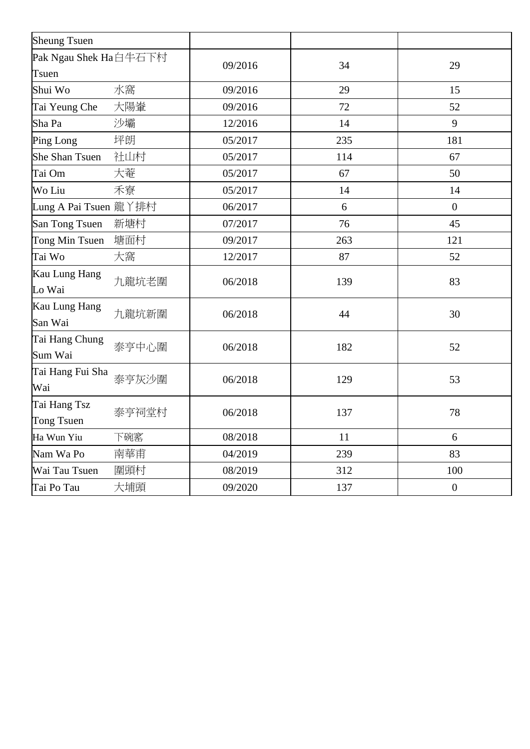| <b>Sheung Tsuen</b>            |       |         |     |                  |
|--------------------------------|-------|---------|-----|------------------|
| Pak Ngau Shek Ha白牛石下村<br>Tsuen |       | 09/2016 | 34  | 29               |
| Shui Wo                        | 水窩    | 09/2016 | 29  | 15               |
| Tai Yeung Che                  | 大陽輋   | 09/2016 | 72  | 52               |
| Sha Pa                         | 沙壩    | 12/2016 | 14  | 9                |
| Ping Long                      | 坪朗    | 05/2017 | 235 | 181              |
| <b>She Shan Tsuen</b>          | 社山村   | 05/2017 | 114 | 67               |
| Tai Om                         | 大菴    | 05/2017 | 67  | 50               |
| Wo Liu                         | 禾寮    | 05/2017 | 14  | 14               |
| Lung A Pai Tsuen 龍丫排村          |       | 06/2017 | 6   | $\overline{0}$   |
| San Tong Tsuen                 | 新塘村   | 07/2017 | 76  | 45               |
| Tong Min Tsuen                 | 塘面村   | 09/2017 | 263 | 121              |
| Tai Wo                         | 大窩    | 12/2017 | 87  | 52               |
| Kau Lung Hang<br>Lo Wai        | 九龍坑老圍 | 06/2018 | 139 | 83               |
| Kau Lung Hang<br>San Wai       | 九龍坑新圍 | 06/2018 | 44  | 30               |
| Tai Hang Chung<br>Sum Wai      | 泰亨中心圍 | 06/2018 | 182 | 52               |
| Tai Hang Fui Sha<br>Wai        | 泰亨灰沙圍 | 06/2018 | 129 | 53               |
| Tai Hang Tsz<br>Tong Tsuen     | 泰亨祠堂村 | 06/2018 | 137 | 78               |
| Ha Wun Yiu                     | 下碗窰   | 08/2018 | 11  | 6                |
| Nam Wa Po                      | 南華甫   | 04/2019 | 239 | 83               |
| Wai Tau Tsuen                  | 圍頭村   | 08/2019 | 312 | 100              |
| Tai Po Tau                     | 大埔頭   | 09/2020 | 137 | $\boldsymbol{0}$ |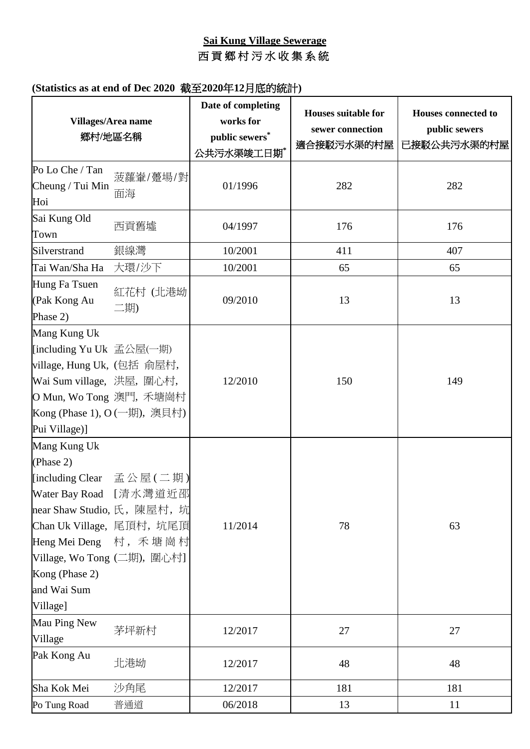# **Sai Kung Village Sewerage** 西貢鄉村污水收集系統

|                                                                                                                                                                                                                      | Villages/Area name<br>鄉村/地區名稱 | Date of completing<br>works for<br>public sewers*<br>公共污水渠竣工日期* | <b>Houses suitable for</b><br>sewer connection<br>適合接駁污水渠的村屋 | <b>Houses connected to</b><br>public sewers<br>已接駁公共污水渠的村屋 |
|----------------------------------------------------------------------------------------------------------------------------------------------------------------------------------------------------------------------|-------------------------------|-----------------------------------------------------------------|--------------------------------------------------------------|------------------------------------------------------------|
| Po Lo Che / Tan<br>Cheung / Tui Min<br>Hoi                                                                                                                                                                           | 菠蘿輋/躉場/對<br>面海                | 01/1996                                                         | 282                                                          | 282                                                        |
| Sai Kung Old<br>Town                                                                                                                                                                                                 | 西貢舊墟                          | 04/1997                                                         | 176                                                          | 176                                                        |
| Silverstrand                                                                                                                                                                                                         | 銀線灣                           | 10/2001                                                         | 411                                                          | 407                                                        |
| Tai Wan/Sha Ha                                                                                                                                                                                                       | 大環/沙下                         | 10/2001                                                         | 65                                                           | 65                                                         |
| Hung Fa Tsuen<br>(Pak Kong Au<br>Phase 2)                                                                                                                                                                            | 紅花村 (北港坳<br>二期)               | 09/2010                                                         | 13                                                           | 13                                                         |
| Mang Kung Uk<br>[including Yu Uk 孟公屋(一期)<br> village, Hung Uk, (包括 俞屋村,<br>Wai Sum village,洪屋,圍心村,<br>O Mun, Wo Tong 澳門, 禾塘崗村<br>Kong (Phase 1), O (一期), 澳貝村)<br>Pui Village)]                                       |                               | 12/2010                                                         | 150                                                          | 149                                                        |
| Mang Kung Uk<br>(Phase 2)<br>[including Clear 孟公屋(二期)<br>near Shaw Studio, 氏,陳屋村,坑<br>Chan Uk Village,尾頂村,坑尾頂<br>Heng Mei Deng 村, 禾塘崗村<br> Village, Wo Tong (二期),圍心村]  <br>Kong (Phase 2)<br>and Wai Sum<br>Village] | Water Bay Road [清水灣道近邵        | 11/2014                                                         | 78                                                           | 63                                                         |
| Mau Ping New<br>Village                                                                                                                                                                                              | 茅坪新村                          | 12/2017                                                         | 27                                                           | 27                                                         |
| Pak Kong Au                                                                                                                                                                                                          | 北港坳                           | 12/2017                                                         | 48                                                           | 48                                                         |
| Sha Kok Mei                                                                                                                                                                                                          | 沙角尾                           | 12/2017                                                         | 181                                                          | 181                                                        |
| Po Tung Road                                                                                                                                                                                                         | 普通道                           | 06/2018                                                         | 13                                                           | 11                                                         |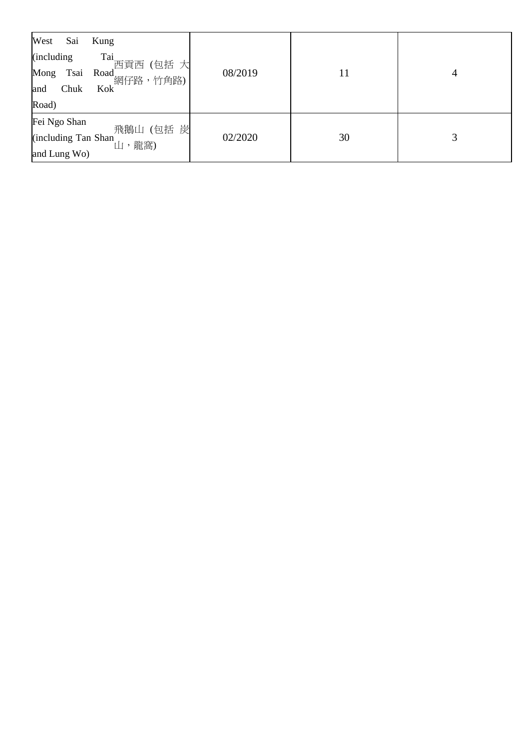| West<br>Sai  | Kung                                    |         |    |   |
|--------------|-----------------------------------------|---------|----|---|
| (including)  | Tai<br>西貢西(包括 大                         |         |    |   |
|              | Mong Tsai Road 網仔路,竹角路)                 | 08/2019 | 11 | 4 |
| Chuk<br>and  | Kok <sup>'</sup>                        |         |    |   |
| Road)        |                                         |         |    |   |
| Fei Ngo Shan |                                         |         |    |   |
|              | 飛鵝山 (包括 炭<br>(including Tan Shan 山, 龍窩) | 02/2020 | 30 | 3 |
| and Lung Wo) |                                         |         |    |   |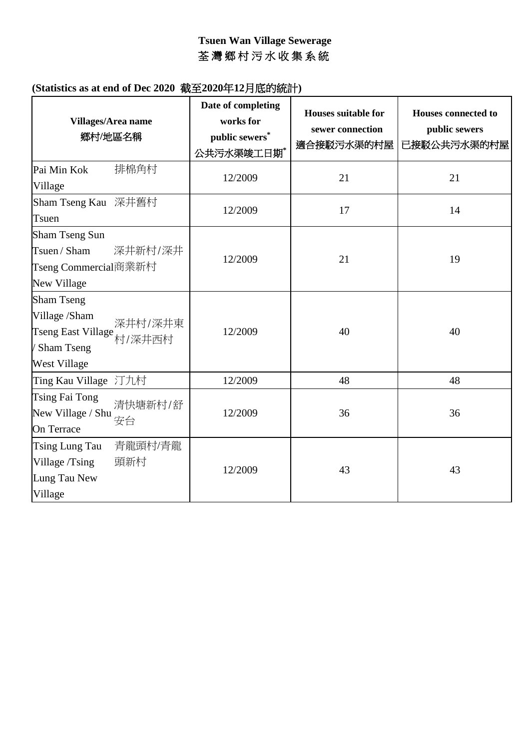## **Tsuen Wan Village Sewerage** 荃 灣 鄉 村 污 水 收 集 系 統

| Villages/Area name<br>鄉村/地區名稱                                                                                        | Date of completing<br>works for<br>public sewers*<br>公共污水渠竣工日期* | Houses suitable for<br>sewer connection<br>適合接駁污水渠的村屋 | <b>Houses connected to</b><br>public sewers<br>已接駁公共污水渠的村屋 |
|----------------------------------------------------------------------------------------------------------------------|-----------------------------------------------------------------|-------------------------------------------------------|------------------------------------------------------------|
| 排棉角村<br>Pai Min Kok<br>Village                                                                                       | 12/2009                                                         | 21                                                    | 21                                                         |
| Sham Tseng Kau 深井舊村<br>Tsuen                                                                                         | 12/2009                                                         | 17                                                    | 14                                                         |
| Sham Tseng Sun<br>Tsuen / Sham<br>深井新村/深井<br>Tseng Commercial商業新村<br>New Village                                     | 12/2009                                                         | 21                                                    | 19                                                         |
| <b>Sham Tseng</b><br>Village /Sham<br>深井村/深井東<br>Tseng East Village<br>村/深井西村<br>' Sham Tseng<br><b>West Village</b> | 12/2009                                                         | 40                                                    | 40                                                         |
| Ting Kau Village 汀九村                                                                                                 | 12/2009                                                         | 48                                                    | 48                                                         |
| Tsing Fai Tong<br>清快塘新村/舒<br>New Village / Shu<br>安台<br>On Terrace                                                   | 12/2009                                                         | 36                                                    | 36                                                         |
| 青龍頭村/青龍<br>Tsing Lung Tau<br>頭新村<br>Village /Tsing<br>Lung Tau New<br>Village                                        | 12/2009                                                         | 43                                                    | 43                                                         |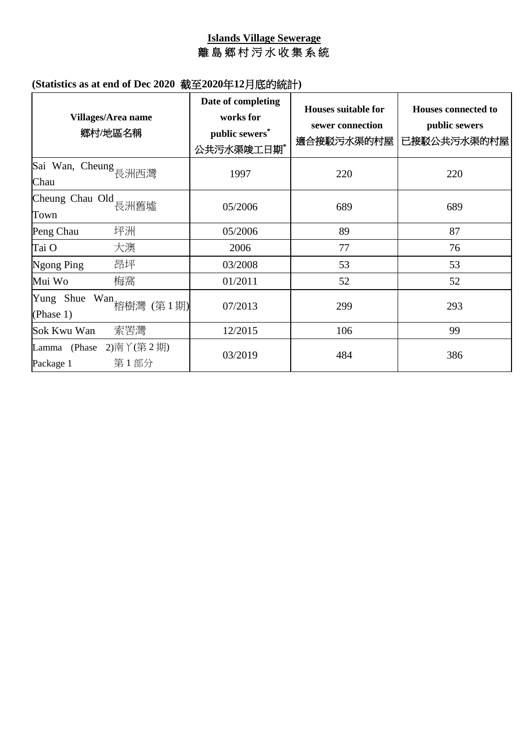#### **Islands Village Sewerage** 離 島 鄉 村 污 水 收 集 系 統

| <b>Villages/Area name</b><br>鄉村/地區名稱        | Date of completing<br>works for<br>public sewers*<br>公共污水渠竣工日期* | <b>Houses suitable for</b><br>sewer connection<br>適合接駁污水渠的村屋 | <b>Houses connected to</b><br>public sewers<br>已接駁公共污水渠的村屋 |
|---------------------------------------------|-----------------------------------------------------------------|--------------------------------------------------------------|------------------------------------------------------------|
| Sai Wan, Cheung 長洲西灣<br>Chau                | 1997                                                            | 220                                                          | 220                                                        |
| Cheung Chau Old<br>長洲舊墟<br>Town             | 05/2006                                                         | 689                                                          | 689                                                        |
| 坪洲<br>Peng Chau                             | 05/2006                                                         | 89                                                           | 87                                                         |
| 大澳<br>Tai O                                 | 2006                                                            | 77                                                           | 76                                                         |
| 昂坪<br>Ngong Ping                            | 03/2008                                                         | 53                                                           | 53                                                         |
| 梅窩<br>Mui Wo                                | 01/2011                                                         | 52                                                           | 52                                                         |
| Yung Shue Wan 格樹灣 (第1期)<br>(Phase 1)        | 07/2013                                                         | 299                                                          | 293                                                        |
| 索罟灣<br>Sok Kwu Wan                          | 12/2015                                                         | 106                                                          | 99                                                         |
| Lamma (Phase 2)南丫(第2期)<br>第1部分<br>Package 1 | 03/2019                                                         | 484                                                          | 386                                                        |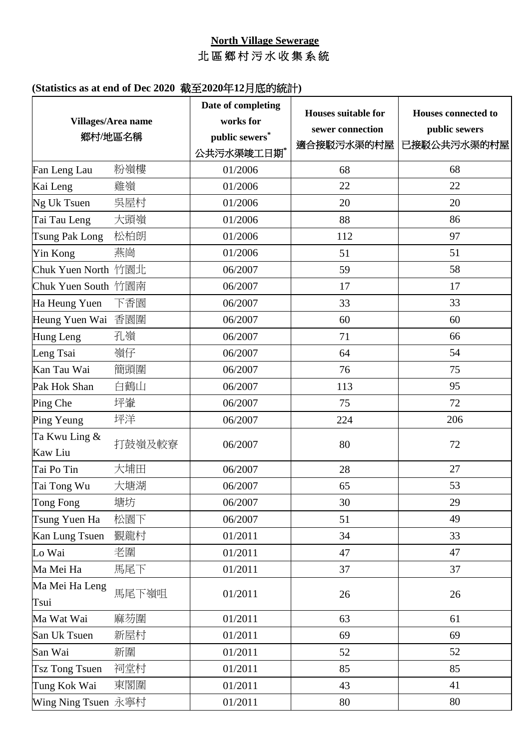## **North Village Sewerage** 北 區 鄉 村 污 水 收集系統

|                          | Villages/Area name<br>鄉村/地區名稱 | Date of completing<br>works for<br>public sewers*<br>公共污水渠竣工日期* | <b>Houses suitable for</b><br>sewer connection<br>適合接駁污水渠的村屋 | <b>Houses connected to</b><br>public sewers<br>已接駁公共污水渠的村屋 |
|--------------------------|-------------------------------|-----------------------------------------------------------------|--------------------------------------------------------------|------------------------------------------------------------|
| Fan Leng Lau             | 粉嶺樓                           | 01/2006                                                         | 68                                                           | 68                                                         |
| Kai Leng                 | 雞嶺                            | 01/2006                                                         | 22                                                           | 22                                                         |
| Ng Uk Tsuen              | 吳屋村                           | 01/2006                                                         | 20                                                           | 20                                                         |
| Tai Tau Leng             | 大頭嶺                           | 01/2006                                                         | 88                                                           | 86                                                         |
| <b>Tsung Pak Long</b>    | 松柏朗                           | 01/2006                                                         | 112                                                          | 97                                                         |
| Yin Kong                 | 燕崗                            | 01/2006                                                         | 51                                                           | 51                                                         |
| Chuk Yuen North 竹園北      |                               | 06/2007                                                         | 59                                                           | 58                                                         |
| Chuk Yuen South 竹園南      |                               | 06/2007                                                         | 17                                                           | 17                                                         |
| Ha Heung Yuen            | 下香園                           | 06/2007                                                         | 33                                                           | 33                                                         |
| Heung Yuen Wai           | 香園圍                           | 06/2007                                                         | 60                                                           | 60                                                         |
| Hung Leng                | 孔嶺                            | 06/2007                                                         | 71                                                           | 66                                                         |
| Leng Tsai                | 嶺仔                            | 06/2007                                                         | 64                                                           | 54                                                         |
| Kan Tau Wai              | 簡頭圍                           | 06/2007                                                         | 76                                                           | 75                                                         |
| Pak Hok Shan             | 白鶴山                           | 06/2007                                                         | 113                                                          | 95                                                         |
| Ping Che                 | 坪輋                            | 06/2007                                                         | 75                                                           | 72                                                         |
| Ping Yeung               | 坪洋                            | 06/2007                                                         | 224                                                          | 206                                                        |
| Ta Kwu Ling &<br>Kaw Liu | 打鼓嶺及較寮                        | 06/2007                                                         | 80                                                           | 72                                                         |
| Tai Po Tin               | 大埔田                           | 06/2007                                                         | 28                                                           | 27                                                         |
| Tai Tong Wu              | 大塘湖                           | 06/2007                                                         | 65                                                           | 53                                                         |
| Tong Fong                | 塘坊                            | 06/2007                                                         | 30                                                           | 29                                                         |
| Tsung Yuen Ha            | 松園下                           | 06/2007                                                         | 51                                                           | 49                                                         |
| Kan Lung Tsuen           | 覲龍村                           | 01/2011                                                         | 34                                                           | 33                                                         |
| Lo Wai                   | 老圍                            | 01/2011                                                         | 47                                                           | 47                                                         |
| Ma Mei Ha                | 馬尾下                           | 01/2011                                                         | 37                                                           | 37                                                         |
| Ma Mei Ha Leng<br>Tsui   | 馬尾下嶺咀                         | 01/2011                                                         | 26                                                           | 26                                                         |
| Ma Wat Wai               | 麻芴圍                           | 01/2011                                                         | 63                                                           | 61                                                         |
| San Uk Tsuen             | 新屋村                           | 01/2011                                                         | 69                                                           | 69                                                         |
| San Wai                  | 新圍                            | 01/2011                                                         | 52                                                           | 52                                                         |
| <b>Tsz Tong Tsuen</b>    | 祠堂村                           | 01/2011                                                         | 85                                                           | 85                                                         |
| Tung Kok Wai             | 東閣圍                           | 01/2011                                                         | 43                                                           | 41                                                         |
| Wing Ning Tsuen 永寧村      |                               | 01/2011                                                         | 80                                                           | 80                                                         |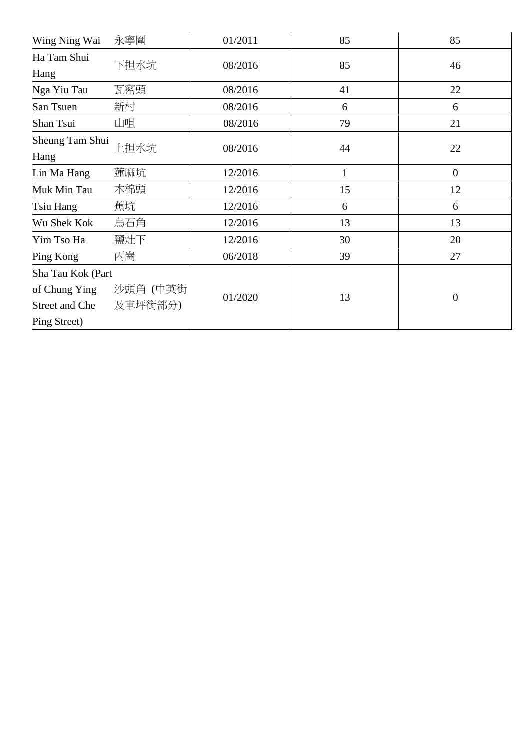| Wing Ning Wai     | 永寧圍     | 01/2011 | 85           | 85             |
|-------------------|---------|---------|--------------|----------------|
| Ha Tam Shui       | 下担水坑    | 08/2016 | 85           | 46             |
| Hang              |         |         |              |                |
| Nga Yiu Tau       | 瓦窰頭     | 08/2016 | 41           | 22             |
| San Tsuen         | 新村      | 08/2016 | 6            | 6              |
| Shan Tsui         | 山咀      | 08/2016 | 79           | 21             |
| Sheung Tam Shui   | 上担水坑    |         |              |                |
| Hang              |         | 08/2016 | 44           | 22             |
| Lin Ma Hang       | 蓮麻坑     | 12/2016 | $\mathbf{1}$ | $\mathbf{0}$   |
| Muk Min Tau       | 木棉頭     | 12/2016 | 15           | 12             |
| Tsiu Hang         | 蕉坑      | 12/2016 | 6            | 6              |
| Wu Shek Kok       | 烏石角     | 12/2016 | 13           | 13             |
| Yim Tso Ha        | 鹽灶下     | 12/2016 | 30           | 20             |
| Ping Kong         | 丙崗      | 06/2018 | 39           | 27             |
| Sha Tau Kok (Part |         |         |              |                |
| of Chung Ying     | 沙頭角(中英街 |         |              |                |
| Street and Che    | 及車坪街部分) | 01/2020 | 13           | $\overline{0}$ |
| Ping Street)      |         |         |              |                |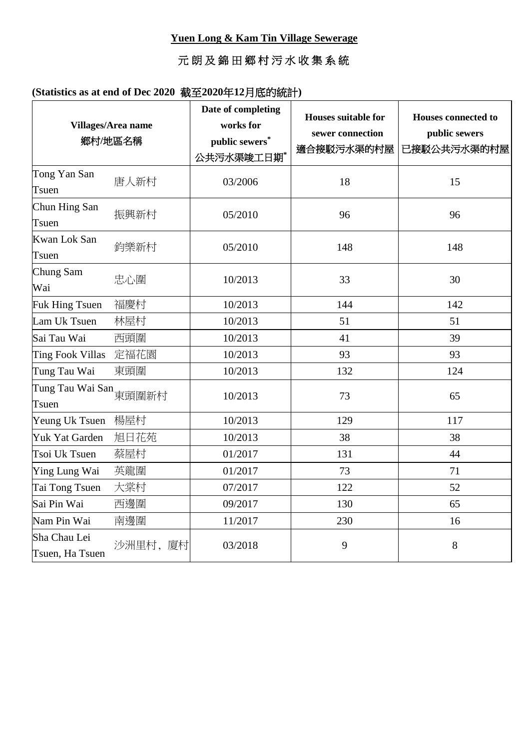## 元 朗及錦田鄉村污水收集系統

|                                    | Villages/Area name<br>鄉村/地區名稱 | Date of completing<br>works for<br>public sewers*<br>公共污水渠竣工日期* | Houses suitable for<br>sewer connection<br>適合接駁污水渠的村屋 | <b>Houses connected to</b><br>public sewers<br>已接駁公共污水渠的村屋 |
|------------------------------------|-------------------------------|-----------------------------------------------------------------|-------------------------------------------------------|------------------------------------------------------------|
| Tong Yan San<br>Tsuen              | 唐人新村                          | 03/2006                                                         | 18                                                    | 15                                                         |
| Chun Hing San<br>Tsuen             | 振興新村                          | 05/2010                                                         | 96                                                    | 96                                                         |
| Kwan Lok San<br>Tsuen              | 鈞樂新村                          | 05/2010                                                         | 148                                                   | 148                                                        |
| Chung Sam<br>Wai                   | 忠心圍                           | 10/2013                                                         | 33                                                    | 30                                                         |
| Fuk Hing Tsuen                     | 福慶村                           | 10/2013                                                         | 144                                                   | 142                                                        |
| Lam Uk Tsuen                       | 林屋村                           | 10/2013                                                         | 51                                                    | 51                                                         |
| Sai Tau Wai                        | 西頭圍                           | 10/2013                                                         | 41                                                    | 39                                                         |
| <b>Ting Fook Villas</b>            | 定福花園                          | 10/2013                                                         | 93                                                    | 93                                                         |
| Tung Tau Wai                       | 東頭圍                           | 10/2013                                                         | 132                                                   | 124                                                        |
| Tung Tau Wai San<br>東頭圍新村<br>Tsuen |                               | 10/2013                                                         | 73                                                    | 65                                                         |
| Yeung Uk Tsuen                     | 楊屋村                           | 10/2013                                                         | 129                                                   | 117                                                        |
| Yuk Yat Garden                     | 旭日花苑                          | 10/2013                                                         | 38                                                    | 38                                                         |
| Tsoi Uk Tsuen                      | 蔡屋村                           | 01/2017                                                         | 131                                                   | 44                                                         |
| Ying Lung Wai                      | 英龍圍                           | 01/2017                                                         | 73                                                    | 71                                                         |
| Tai Tong Tsuen                     | 大棠村                           | 07/2017                                                         | 122                                                   | 52                                                         |
| Sai Pin Wai                        | 西邊圍                           | 09/2017                                                         | 130                                                   | 65                                                         |
| Nam Pin Wai                        | 南邊圍                           | 11/2017                                                         | 230                                                   | 16                                                         |
| Sha Chau Lei<br>Tsuen, Ha Tsuen    | 沙洲里村,<br>廈村                   | 03/2018                                                         | 9                                                     | 8                                                          |